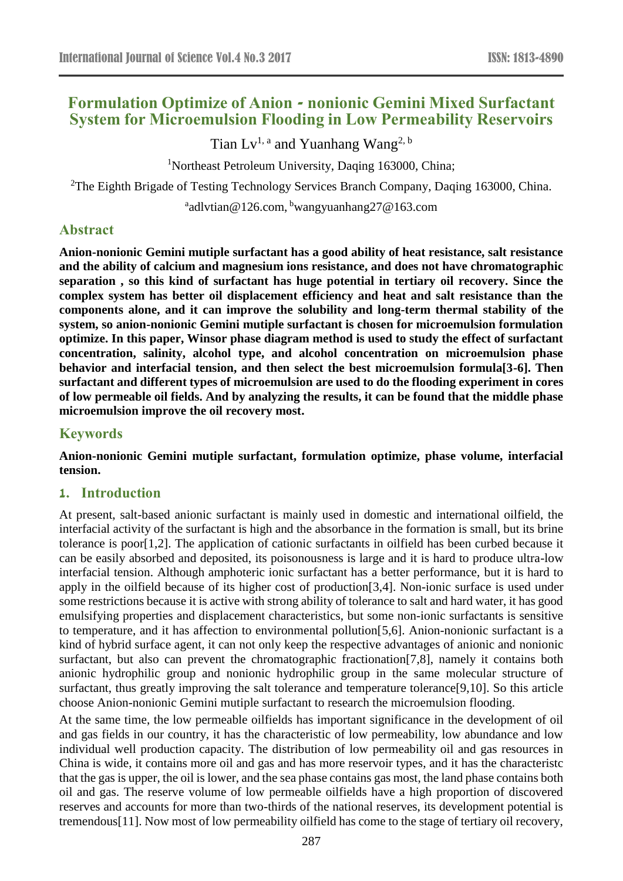# **Formulation Optimize of Anion - nonionic Gemini Mixed Surfactant System for Microemulsion Flooding in Low Permeability Reservoirs**

Tian Lv<sup>1, a</sup> and Yuanhang Wang<sup>2, b</sup>

<sup>1</sup>Northeast Petroleum University, Daqing 163000, China;

<sup>2</sup>The Eighth Brigade of Testing Technology Services Branch Company, Daqing 163000, China.

<sup>a</sup>adlvtian@126.com, <sup>b</sup>wangyuanhang27@163.com

# **Abstract**

**Anion-nonionic Gemini mutiple surfactant has a good ability of heat resistance, salt resistance and the ability of calcium and magnesium ions resistance, and does not have chromatographic separation , so this kind of surfactant has huge potential in tertiary oil recovery. Since the complex system has better oil displacement efficiency and heat and salt resistance than the components alone, and it can improve the solubility and long-term thermal stability of the system, so anion-nonionic Gemini mutiple surfactant is chosen for microemulsion formulation optimize. In this paper, Winsor phase diagram method is used to study the effect of surfactant concentration, salinity, alcohol type, and alcohol concentration on microemulsion phase behavior and interfacial tension, and then select the best microemulsion formula[3-6]. Then surfactant and different types of microemulsion are used to do the flooding experiment in cores of low permeable oil fields. And by analyzing the results, it can be found that the middle phase microemulsion improve the oil recovery most.**

# **Keywords**

**Anion-nonionic Gemini mutiple surfactant, formulation optimize, phase volume, interfacial tension.**

#### **1. Introduction**

At present, salt-based anionic surfactant is mainly used in domestic and international oilfield, the interfacial activity of the surfactant is high and the absorbance in the formation is small, but its brine tolerance is poor[1,2]. The application of cationic surfactants in oilfield has been curbed because it can be easily absorbed and deposited, its poisonousness is large and it is hard to produce ultra-low interfacial tension. Although amphoteric ionic surfactant has a better performance, but it is hard to apply in the oilfield because of its higher cost of production[3,4]. Non-ionic surface is used under some restrictions because it is active with strong ability of tolerance to salt and hard water, it has good emulsifying properties and displacement characteristics, but some non-ionic surfactants is sensitive to temperature, and it has affection to environmental pollution[5,6]. Anion-nonionic surfactant is a kind of hybrid surface agent, it can not only keep the respective advantages of anionic and nonionic surfactant, but also can prevent the chromatographic fractionation[7,8], namely it contains both anionic hydrophilic group and nonionic hydrophilic group in the same molecular structure of surfactant, thus greatly improving the salt tolerance and temperature tolerance[9,10]. So this article choose Anion-nonionic Gemini mutiple surfactant to research the microemulsion flooding.

At the same time, the low permeable oilfields has important significance in the development of oil and gas fields in our country, it has the characteristic of low permeability, low abundance and low individual well production capacity. The distribution of low permeability oil and gas resources in China is wide, it contains more oil and gas and has more reservoir types, and it has the characteristc that the gas is upper, the oil is lower, and the sea phase contains gas most, the land phase contains both oil and gas. The reserve volume of low permeable oilfields have a high proportion of discovered reserves and accounts for more than two-thirds of the national reserves, its development potential is tremendous[11]. Now most of low permeability oilfield has come to the stage of tertiary oil recovery,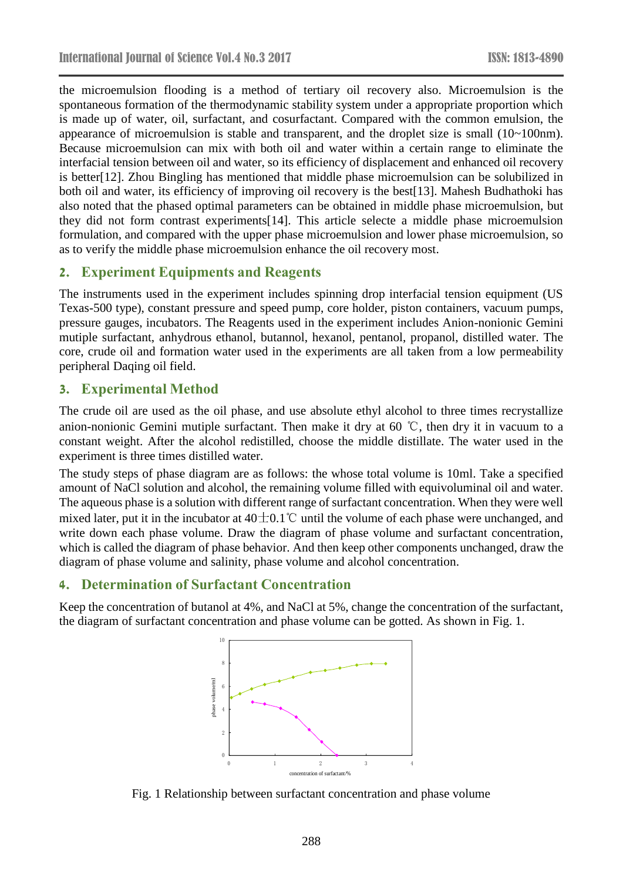the microemulsion flooding is a method of tertiary oil recovery also. Microemulsion is the spontaneous formation of the thermodynamic stability system under a appropriate proportion which is made up of water, oil, surfactant, and cosurfactant. Compared with the common emulsion, the appearance of microemulsion is stable and transparent, and the droplet size is small (10~100nm). Because microemulsion can mix with both oil and water within a certain range to eliminate the interfacial tension between oil and water, so its efficiency of displacement and enhanced oil recovery is better[12]. Zhou Bingling has mentioned that middle phase microemulsion can be solubilized in both oil and water, its efficiency of improving oil recovery is the best[13]. Mahesh Budhathoki has also noted that the phased optimal parameters can be obtained in middle phase microemulsion, but they did not form contrast experiments[14]. This article selecte a middle phase microemulsion formulation, and compared with the upper phase microemulsion and lower phase microemulsion, so as to verify the middle phase microemulsion enhance the oil recovery most.

# **2. Experiment Equipments and Reagents**

The instruments used in the experiment includes spinning drop interfacial tension equipment (US Texas-500 type), constant pressure and speed pump, core holder, piston containers, vacuum pumps, pressure gauges, incubators. The Reagents used in the experiment includes Anion-nonionic Gemini mutiple surfactant, anhydrous ethanol, butannol, hexanol, pentanol, propanol, distilled water. The core, crude oil and formation water used in the experiments are all taken from a low permeability peripheral Daqing oil field.

#### **3. Experimental Method**

The crude oil are used as the oil phase, and use absolute ethyl alcohol to three times recrystallize anion-nonionic Gemini mutiple surfactant. Then make it dry at 60 ℃, then dry it in vacuum to a constant weight. After the alcohol redistilled, choose the middle distillate. The water used in the experiment is three times distilled water.

The study steps of phase diagram are as follows: the whose total volume is 10ml. Take a specified amount of NaCl solution and alcohol, the remaining volume filled with equivoluminal oil and water. The aqueous phase is a solution with different range of surfactant concentration. When they were well mixed later, put it in the incubator at  $40\pm0.1\degree$  until the volume of each phase were unchanged, and write down each phase volume. Draw the diagram of phase volume and surfactant concentration, which is called the diagram of phase behavior. And then keep other components unchanged, draw the diagram of phase volume and salinity, phase volume and alcohol concentration.

#### **4. Determination of Surfactant Concentration**

Keep the concentration of butanol at 4%, and NaCl at 5%, change the concentration of the surfactant, the diagram of surfactant concentration and phase volume can be gotted. As shown in Fig. 1.



Fig. 1 Relationship between surfactant concentration and phase volume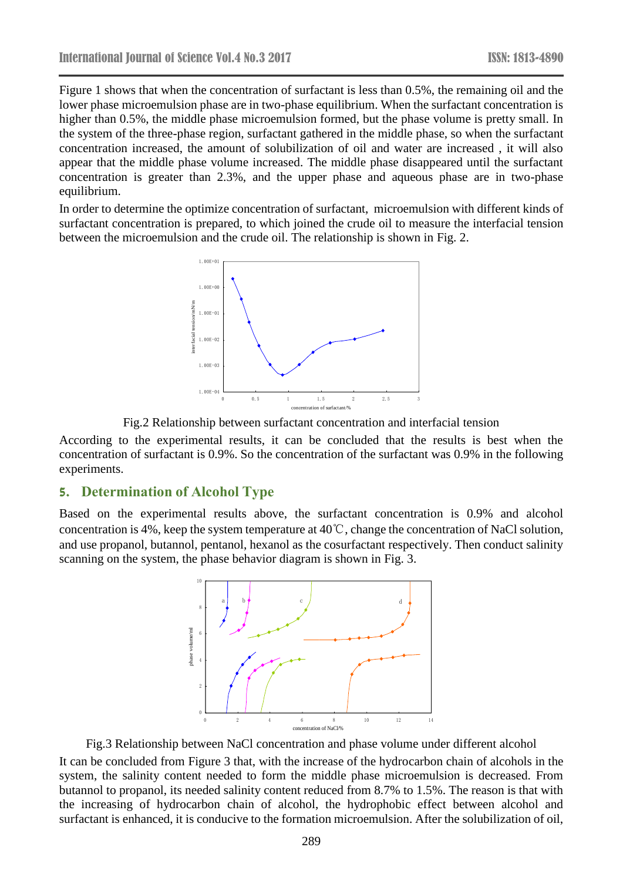Figure 1 shows that when the concentration of surfactant is less than 0.5%, the remaining oil and the lower phase microemulsion phase are in two-phase equilibrium. When the surfactant concentration is higher than 0.5%, the middle phase microemulsion formed, but the phase volume is pretty small. In the system of the three-phase region, surfactant gathered in the middle phase, so when the surfactant concentration increased, the amount of solubilization of oil and water are increased , it will also appear that the middle phase volume increased. The middle phase disappeared until the surfactant concentration is greater than 2.3%, and the upper phase and aqueous phase are in two-phase equilibrium.

In order to determine the optimize concentration of surfactant, microemulsion with different kinds of surfactant concentration is prepared, to which joined the crude oil to measure the interfacial tension between the microemulsion and the crude oil. The relationship is shown in Fig. 2.



Fig.2 Relationship between surfactant concentration and interfacial tension

According to the experimental results, it can be concluded that the results is best when the concentration of surfactant is 0.9%. So the concentration of the surfactant was 0.9% in the following experiments.

#### **5. Determination of Alcohol Type**

Based on the experimental results above, the surfactant concentration is 0.9% and alcohol concentration is 4%, keep the system temperature at 40℃, change the concentration of NaCl solution, and use propanol, butannol, pentanol, hexanol as the cosurfactant respectively. Then conduct salinity scanning on the system, the phase behavior diagram is shown in Fig. 3.



Fig.3 Relationship between NaCl concentration and phase volume under different alcohol

It can be concluded from Figure 3 that, with the increase of the hydrocarbon chain of alcohols in the system, the salinity content needed to form the middle phase microemulsion is decreased. From butannol to propanol, its needed salinity content reduced from 8.7% to 1.5%. The reason is that with the increasing of hydrocarbon chain of alcohol, the hydrophobic effect between alcohol and surfactant is enhanced, it is conducive to the formation microemulsion. After the solubilization of oil,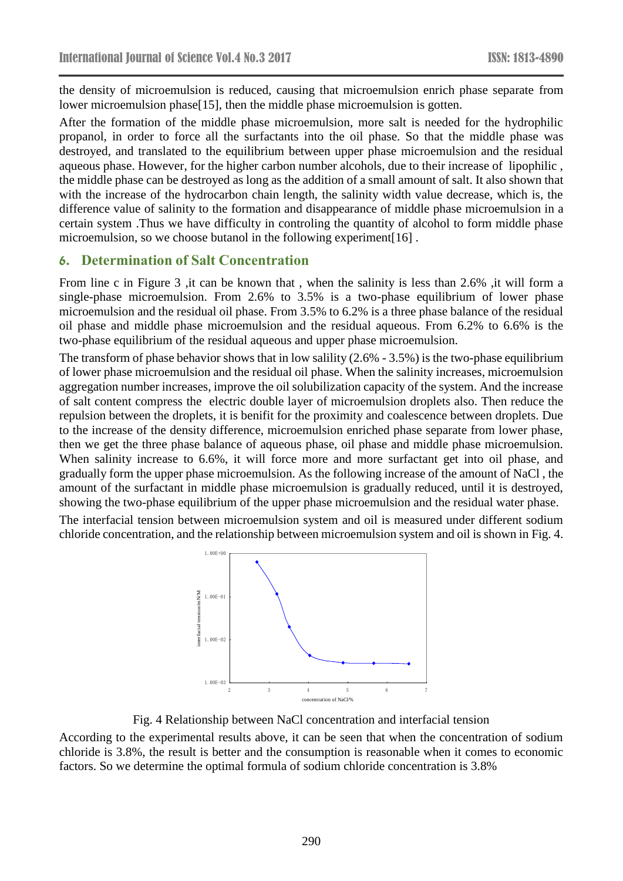the density of microemulsion is reduced, causing that microemulsion enrich phase separate from lower microemulsion phase[15], then the middle phase microemulsion is gotten.

After the formation of the middle phase microemulsion, more salt is needed for the hydrophilic propanol, in order to force all the surfactants into the oil phase. So that the middle phase was destroyed, and translated to the equilibrium between upper phase microemulsion and the residual aqueous phase. However, for the higher carbon number alcohols, due to their increase of lipophilic , the middle phase can be destroyed as long as the addition of a small amount of salt. It also shown that with the increase of the hydrocarbon chain length, the salinity width value decrease, which is, the difference value of salinity to the formation and disappearance of middle phase microemulsion in a certain system .Thus we have difficulty in controling the quantity of alcohol to form middle phase microemulsion, so we choose butanol in the following experiment[16] .

#### **6. Determination of Salt Concentration**

From line c in Figure 3 ,it can be known that , when the salinity is less than 2.6% ,it will form a single-phase microemulsion. From 2.6% to 3.5% is a two-phase equilibrium of lower phase microemulsion and the residual oil phase. From 3.5% to 6.2% is a three phase balance of the residual oil phase and middle phase microemulsion and the residual aqueous. From 6.2% to 6.6% is the two-phase equilibrium of the residual aqueous and upper phase microemulsion.

The transform of phase behavior shows that in low salility (2.6% - 3.5%) is the two-phase equilibrium of lower phase microemulsion and the residual oil phase. When the salinity increases, microemulsion aggregation number increases, improve the oil solubilization capacity of the system. And the increase of salt content compress the electric double layer of microemulsion droplets also. Then reduce the repulsion between the droplets, it is benifit for the proximity and coalescence between droplets. Due to the increase of the density difference, microemulsion enriched phase separate from lower phase, then we get the three phase balance of aqueous phase, oil phase and middle phase microemulsion. When salinity increase to 6.6%, it will force more and more surfactant get into oil phase, and gradually form the upper phase microemulsion. As the following increase of the amount of NaCl , the amount of the surfactant in middle phase microemulsion is gradually reduced, until it is destroyed, showing the two-phase equilibrium of the upper phase microemulsion and the residual water phase.

The interfacial tension between microemulsion system and oil is measured under different sodium chloride concentration, and the relationship between microemulsion system and oil is shown in Fig. 4.



Fig. 4 Relationship between NaCl concentration and interfacial tension

According to the experimental results above, it can be seen that when the concentration of sodium chloride is 3.8%, the result is better and the consumption is reasonable when it comes to economic factors. So we determine the optimal formula of sodium chloride concentration is 3.8%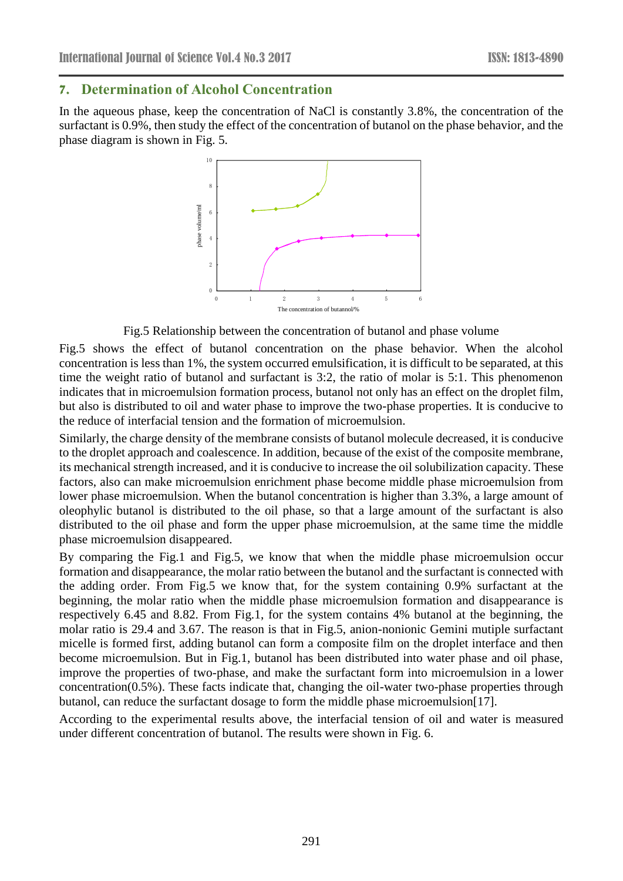### **7. Determination of Alcohol Concentration**

In the aqueous phase, keep the concentration of NaCl is constantly 3.8%, the concentration of the surfactant is 0.9%, then study the effect of the concentration of butanol on the phase behavior, and the phase diagram is shown in Fig. 5.



Fig.5 Relationship between the concentration of butanol and phase volume

Fig.5 shows the effect of butanol concentration on the phase behavior. When the alcohol concentration is less than 1%, the system occurred emulsification, it is difficult to be separated, at this time the weight ratio of butanol and surfactant is 3:2, the ratio of molar is 5:1. This phenomenon indicates that in microemulsion formation process, butanol not only has an effect on the droplet film, but also is distributed to oil and water phase to improve the two-phase properties. It is conducive to the reduce of interfacial tension and the formation of microemulsion.

Similarly, the charge density of the membrane consists of butanol molecule decreased, it is conducive to the droplet approach and coalescence. In addition, because of the exist of the composite membrane, its mechanical strength increased, and it is conducive to increase the oil solubilization capacity. These factors, also can make microemulsion enrichment phase become middle phase microemulsion from lower phase microemulsion. When the butanol concentration is higher than 3.3%, a large amount of oleophylic butanol is distributed to the oil phase, so that a large amount of the surfactant is also distributed to the oil phase and form the upper phase microemulsion, at the same time the middle phase microemulsion disappeared.

By comparing the Fig.1 and Fig.5, we know that when the middle phase microemulsion occur formation and disappearance, the molar ratio between the butanol and the surfactant is connected with the adding order. From Fig.5 we know that, for the system containing 0.9% surfactant at the beginning, the molar ratio when the middle phase microemulsion formation and disappearance is respectively 6.45 and 8.82. From Fig.1, for the system contains 4% butanol at the beginning, the molar ratio is 29.4 and 3.67. The reason is that in Fig.5, anion-nonionic Gemini mutiple surfactant micelle is formed first, adding butanol can form a composite film on the droplet interface and then become microemulsion. But in Fig.1, butanol has been distributed into water phase and oil phase, improve the properties of two-phase, and make the surfactant form into microemulsion in a lower concentration(0.5%). These facts indicate that, changing the oil-water two-phase properties through butanol, can reduce the surfactant dosage to form the middle phase microemulsion[17].

According to the experimental results above, the interfacial tension of oil and water is measured under different concentration of butanol. The results were shown in Fig. 6.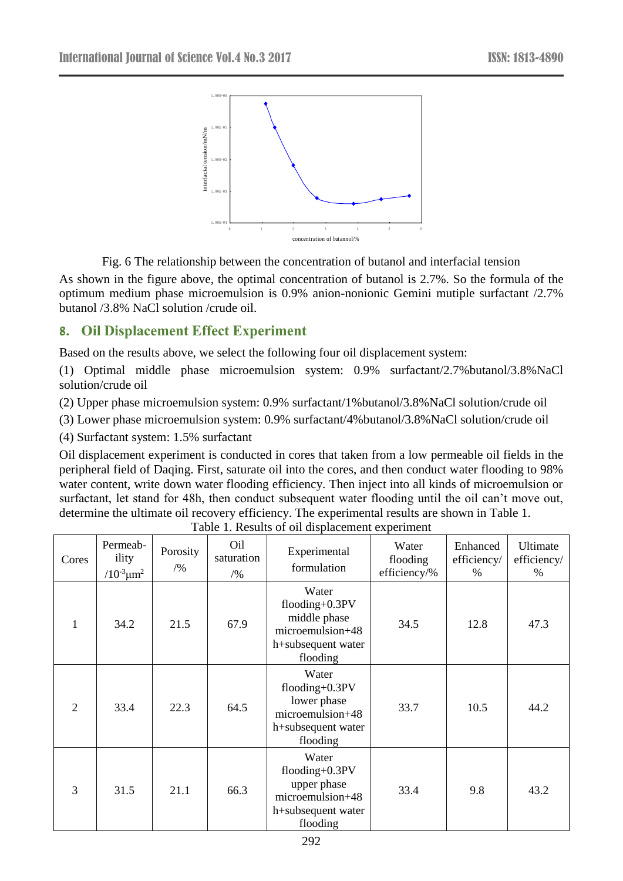

Fig. 6 The relationship between the concentration of butanol and interfacial tension

As shown in the figure above, the optimal concentration of butanol is 2.7%. So the formula of the optimum medium phase microemulsion is 0.9% anion-nonionic Gemini mutiple surfactant /2.7% butanol /3.8% NaCl solution /crude oil.

# **8. Oil Displacement Effect Experiment**

Based on the results above, we select the following four oil displacement system:

(1) Optimal middle phase microemulsion system: 0.9% surfactant/2.7%butanol/3.8%NaCl solution/crude oil

(2) Upper phase microemulsion system: 0.9% surfactant/1%butanol/3.8%NaCl solution/crude oil

(3) Lower phase microemulsion system: 0.9% surfactant/4%butanol/3.8%NaCl solution/crude oil

(4) Surfactant system: 1.5% surfactant

Oil displacement experiment is conducted in cores that taken from a low permeable oil fields in the peripheral field of Daqing. First, saturate oil into the cores, and then conduct water flooding to 98% water content, write down water flooding efficiency. Then inject into all kinds of microemulsion or surfactant, let stand for 48h, then conduct subsequent water flooding until the oil can't move out, determine the ultimate oil recovery efficiency. The experimental results are shown in [Table 1.](#page-5-0)

<span id="page-5-0"></span>

| Cores | Permeab-<br>ility<br>$/10^{-3} \mu m^2$ | Porosity<br>$/ \frac{9}{6}$ | Oil<br>saturation<br>/9/0 | Experimental<br>formulation                                                                      | Water<br>flooding<br>efficiency/% | Enhanced<br>efficiency/<br>% | Ultimate<br>efficiency/<br>% |
|-------|-----------------------------------------|-----------------------------|---------------------------|--------------------------------------------------------------------------------------------------|-----------------------------------|------------------------------|------------------------------|
| 1     | 34.2                                    | 21.5                        | 67.9                      | Water<br>flooding+ $0.3PV$<br>middle phase<br>microemulsion+48<br>h+subsequent water<br>flooding | 34.5                              | 12.8                         | 47.3                         |
| 2     | 33.4                                    | 22.3                        | 64.5                      | Water<br>flooding $+0.3PV$<br>lower phase<br>microemulsion+48<br>h+subsequent water<br>flooding  | 33.7                              | 10.5                         | 44.2                         |
| 3     | 31.5                                    | 21.1                        | 66.3                      | Water<br>flooding+0.3PV<br>upper phase<br>microemulsion+48<br>h+subsequent water<br>flooding     | 33.4                              | 9.8                          | 43.2                         |

Table 1. Results of oil displacement experiment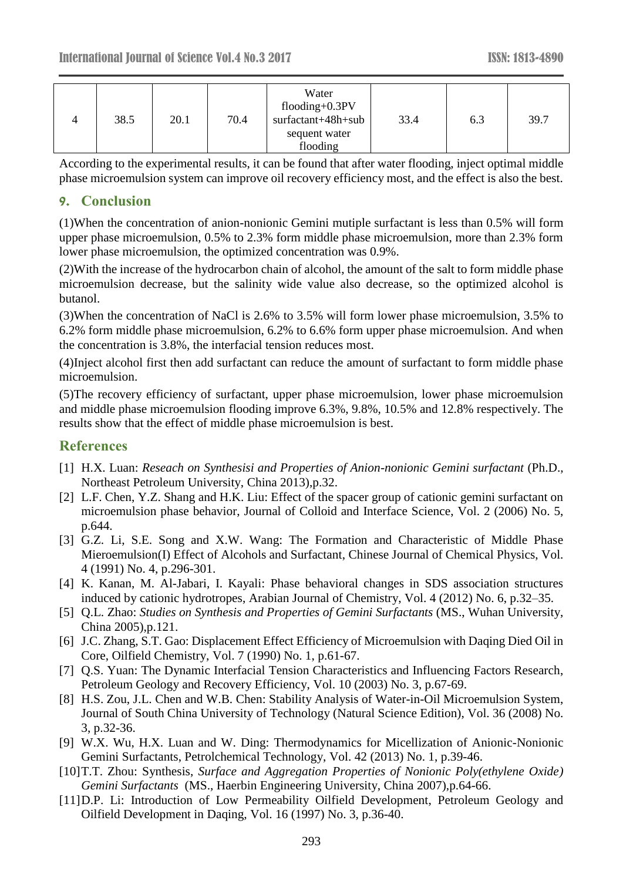| 4 | 38.5 | 20.1 | 70.4 | Water<br>flooding $+0.3PV$<br>surfactant+48h+sub<br>sequent water<br>flooding | 33.4 | 6.3 | 39.7 |
|---|------|------|------|-------------------------------------------------------------------------------|------|-----|------|
|---|------|------|------|-------------------------------------------------------------------------------|------|-----|------|

According to the experimental results, it can be found that after water flooding, inject optimal middle phase microemulsion system can improve oil recovery efficiency most, and the effect is also the best.

# **9. Conclusion**

(1)When the concentration of anion-nonionic Gemini mutiple surfactant is less than 0.5% will form upper phase microemulsion, 0.5% to 2.3% form middle phase microemulsion, more than 2.3% form lower phase microemulsion, the optimized concentration was 0.9%.

(2)With the increase of the hydrocarbon chain of alcohol, the amount of the salt to form middle phase microemulsion decrease, but the salinity wide value also decrease, so the optimized alcohol is butanol.

(3)When the concentration of NaCl is 2.6% to 3.5% will form lower phase microemulsion, 3.5% to 6.2% form middle phase microemulsion, 6.2% to 6.6% form upper phase microemulsion. And when the concentration is 3.8%, the interfacial tension reduces most.

(4)Inject alcohol first then add surfactant can reduce the amount of surfactant to form middle phase microemulsion.

(5)The recovery efficiency of surfactant, upper phase microemulsion, lower phase microemulsion and middle phase microemulsion flooding improve 6.3%, 9.8%, 10.5% and 12.8% respectively. The results show that the effect of middle phase microemulsion is best.

# **References**

- [1] H.X. Luan: *Reseach on Synthesisi and Properties of Anion-nonionic Gemini surfactant* (Ph.D., Northeast Petroleum University, China 2013),p.32.
- [2] L.F. Chen, Y.Z. Shang and H.K. Liu: Effect of the spacer group of cationic gemini surfactant on microemulsion phase behavior, Journal of Colloid and Interface Science, Vol. 2 (2006) No. 5, p.644.
- [3] G.Z. Li, S.E. Song and X.W. Wang: The Formation and Characteristic of Middle Phase Mieroemulsion(I) Effect of Alcohols and Surfactant, Chinese Journal of Chemical Physics, Vol. 4 (1991) No. 4, p.296-301.
- [4] K. Kanan, M. Al-Jabari, I. Kayali: Phase behavioral changes in SDS association structures induced by cationic hydrotropes, Arabian Journal of Chemistry, Vol. 4 (2012) No. 6, p.32–35.
- [5] Q.L. Zhao: *Studies on Synthesis and Properties of Gemini Surfactants* (MS., Wuhan University, China 2005),p.121.
- [6] J.C. Zhang, S.T. Gao: Displacement Effect Efficiency of Microemulsion with Daqing Died Oil in Core, Oilfield Chemistry, Vol. 7 (1990) No. 1, p.61-67.
- [7] Q.S. Yuan: The Dynamic Interfacial Tension Characteristics and Influencing Factors Research, Petroleum Geology and Recovery Efficiency, Vol. 10 (2003) No. 3, p.67-69.
- [8] H.S. Zou, J.L. Chen and W.B. Chen: Stability Analysis of Water-in-Oil Microemulsion System, Journal of South China University of Technology (Natural Science Edition), Vol. 36 (2008) No. 3, p.32-36.
- [9] W.X. Wu, H.X. Luan and W. Ding: Thermodynamics for Micellization of Anionic-Nonionic Gemini Surfactants, Petrolchemical Technology, Vol. 42 (2013) No. 1, p.39-46.
- [10]T.T. Zhou: Synthesis, *Surface and Aggregation Properties of Nonionic Poly(ethylene Oxide) Gemini Surfactants* (MS., Haerbin Engineering University, China 2007),p.64-66.
- [11]D.P. Li: Introduction of Low Permeability Oilfield Development, Petroleum Geology and Oilfield Development in Daqing, Vol. 16 (1997) No. 3, p.36-40.